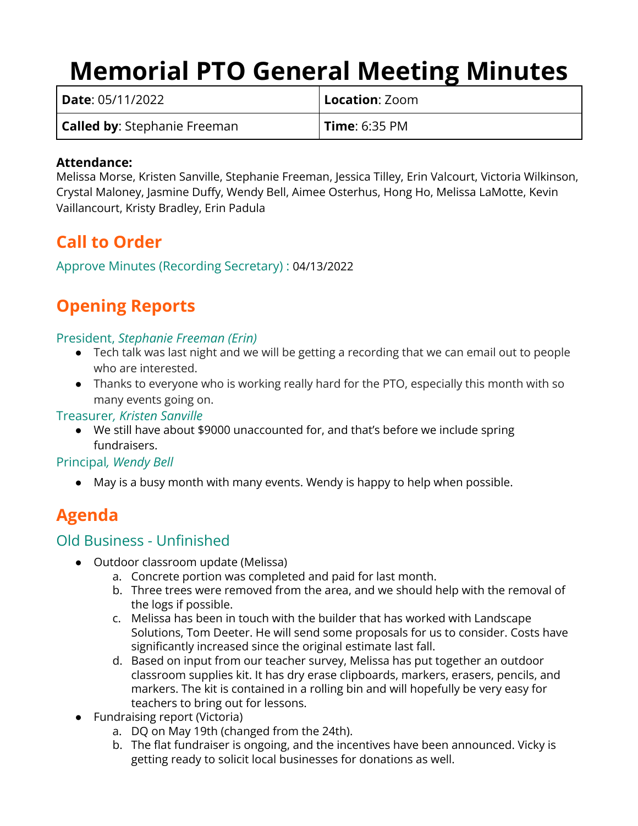# **Memorial PTO General Meeting Minutes**

| <b>Date</b> : 05/11/2022            | <b>Location</b> : Zoom |
|-------------------------------------|------------------------|
| <b>Called by:</b> Stephanie Freeman | <b>Time: 6:35 PM</b>   |

#### **Attendance:**

Melissa Morse, Kristen Sanville, Stephanie Freeman, Jessica Tilley, Erin Valcourt, Victoria Wilkinson, Crystal Maloney, Jasmine Duffy, Wendy Bell, Aimee Osterhus, Hong Ho, Melissa LaMotte, Kevin Vaillancourt, Kristy Bradley, Erin Padula

## **Call to Order**

Approve Minutes (Recording Secretary) : 04/13/2022

# **Opening Reports**

#### President, *Stephanie Freeman (Erin)*

- Tech talk was last night and we will be getting a recording that we can email out to people who are interested.
- Thanks to everyone who is working really hard for the PTO, especially this month with so many events going on.

#### Treasurer*, Kristen Sanville*

● We still have about \$9000 unaccounted for, and that's before we include spring fundraisers.

#### Principal*, Wendy Bell*

● May is a busy month with many events. Wendy is happy to help when possible.

## **Agenda**

### Old Business - Unfinished

- Outdoor classroom update (Melissa)
	- a. Concrete portion was completed and paid for last month.
	- b. Three trees were removed from the area, and we should help with the removal of the logs if possible.
	- c. Melissa has been in touch with the builder that has worked with Landscape Solutions, Tom Deeter. He will send some proposals for us to consider. Costs have significantly increased since the original estimate last fall.
	- d. Based on input from our teacher survey, Melissa has put together an outdoor classroom supplies kit. It has dry erase clipboards, markers, erasers, pencils, and markers. The kit is contained in a rolling bin and will hopefully be very easy for teachers to bring out for lessons.
- Fundraising report (Victoria)
	- a. DQ on May 19th (changed from the 24th).
	- b. The flat fundraiser is ongoing, and the incentives have been announced. Vicky is getting ready to solicit local businesses for donations as well.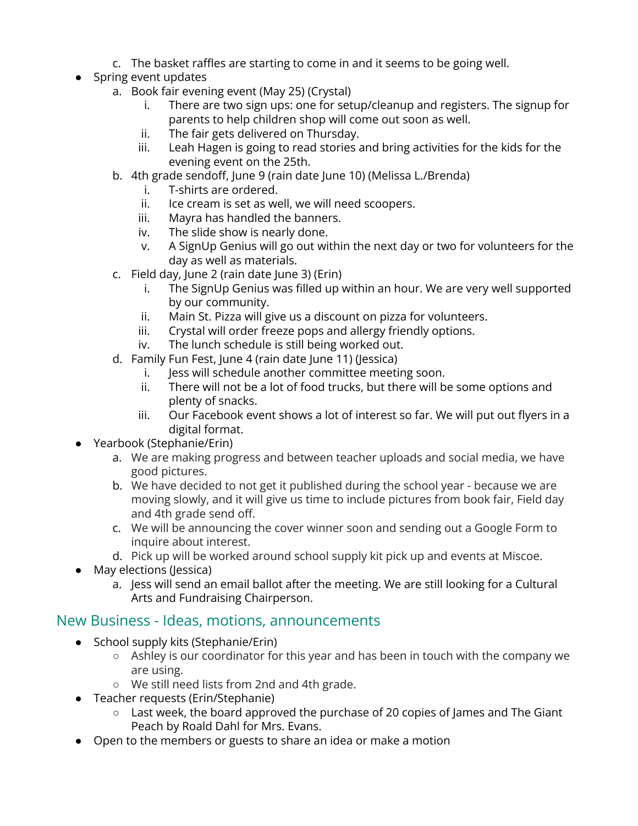- c. The basket raffles are starting to come in and it seems to be going well.
- Spring event updates
	- a. Book fair evening event (May 25) (Crystal)
		- i. There are two sign ups: one for setup/cleanup and registers. The signup for parents to help children shop will come out soon as well.
		- ii. The fair gets delivered on Thursday.
		- iii. Leah Hagen is going to read stories and bring activities for the kids for the evening event on the 25th.
	- b. 4th grade sendoff, June 9 (rain date June 10) (Melissa L./Brenda)
		- i. T-shirts are ordered.
		- ii. Ice cream is set as well, we will need scoopers.
		- iii. Mayra has handled the banners.
		- iv. The slide show is nearly done.
		- v. A SignUp Genius will go out within the next day or two for volunteers for the day as well as materials.
	- c. Field day, June 2 (rain date June 3) (Erin)
		- i. The SignUp Genius was filled up within an hour. We are very well supported by our community.
		- ii. Main St. Pizza will give us a discount on pizza for volunteers.
		- iii. Crystal will order freeze pops and allergy friendly options.
		- iv. The lunch schedule is still being worked out.
	- d. Family Fun Fest, June 4 (rain date June 11) (Jessica)
		- i. Jess will schedule another committee meeting soon.
		- ii. There will not be a lot of food trucks, but there will be some options and plenty of snacks.
		- iii. Our Facebook event shows a lot of interest so far. We will put out flyers in a digital format.
- Yearbook (Stephanie/Erin)
	- a. We are making progress and between teacher uploads and social media, we have good pictures.
	- b. We have decided to not get it published during the school year because we are moving slowly, and it will give us time to include pictures from book fair, Field day and 4th grade send off.
	- c. We will be announcing the cover winner soon and sending out a Google Form to inquire about interest.
	- d. Pick up will be worked around school supply kit pick up and events at Miscoe.
- May elections (Jessica)
	- a. Jess will send an email ballot after the meeting. We are still looking for a Cultural Arts and Fundraising Chairperson.

#### New Business - Ideas, motions, announcements

- School supply kits (Stephanie/Erin)
	- Ashley is our coordinator for this year and has been in touch with the company we are using.
	- We still need lists from 2nd and 4th grade.
- Teacher requests (Erin/Stephanie)
	- Last week, the board approved the purchase of 20 copies of James and The Giant Peach by Roald Dahl for Mrs. Evans.
- Open to the members or guests to share an idea or make a motion